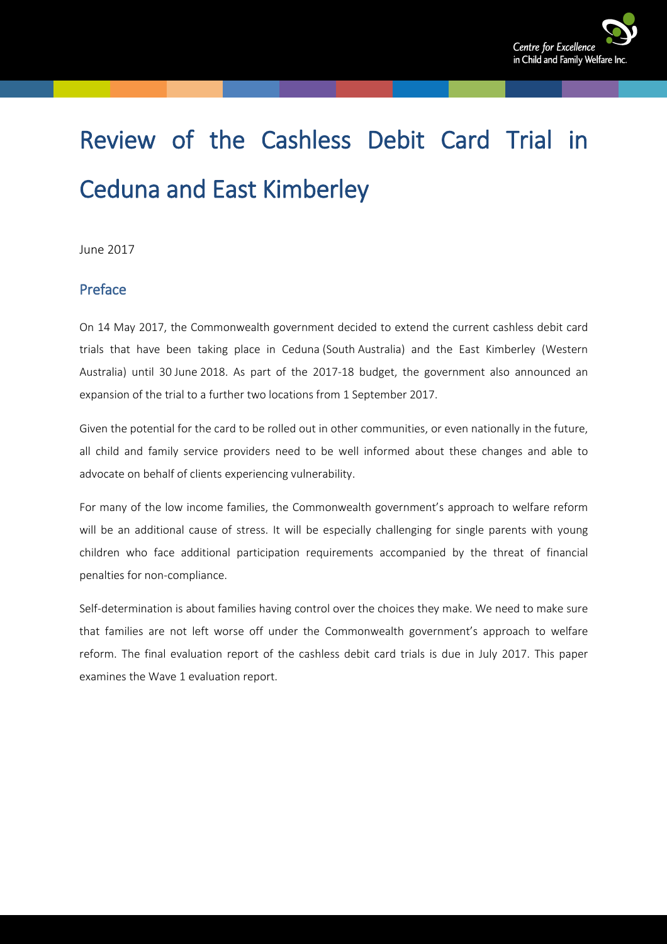

# Review of the Cashless Debit Card Trial in Ceduna and East Kimberley

June 2017

#### <span id="page-0-0"></span>Preface

On 14 May 2017, the Commonwealth government decided to extend the current cashless debit card trials that have been taking place in Ceduna (South Australia) and the East Kimberley (Western Australia) until 30 June 2018. As part of the 2017-18 budget, the government also announced an expansion of the trial to a further two locations from 1 September 2017.

Given the potential for the card to be rolled out in other communities, or even nationally in the future, all child and family service providers need to be well informed about these changes and able to advocate on behalf of clients experiencing vulnerability.

For many of the low income families, the Commonwealth government's approach to welfare reform will be an additional cause of stress. It will be especially challenging for single parents with young children who face additional participation requirements accompanied by the threat of financial penalties for non-compliance.

Self-determination is about families having control over the choices they make. We need to make sure that families are not left worse off under the Commonwealth government's approach to welfare reform. The final evaluation report of the cashless debit card trials is due in July 2017. This paper examines the Wave 1 evaluation report.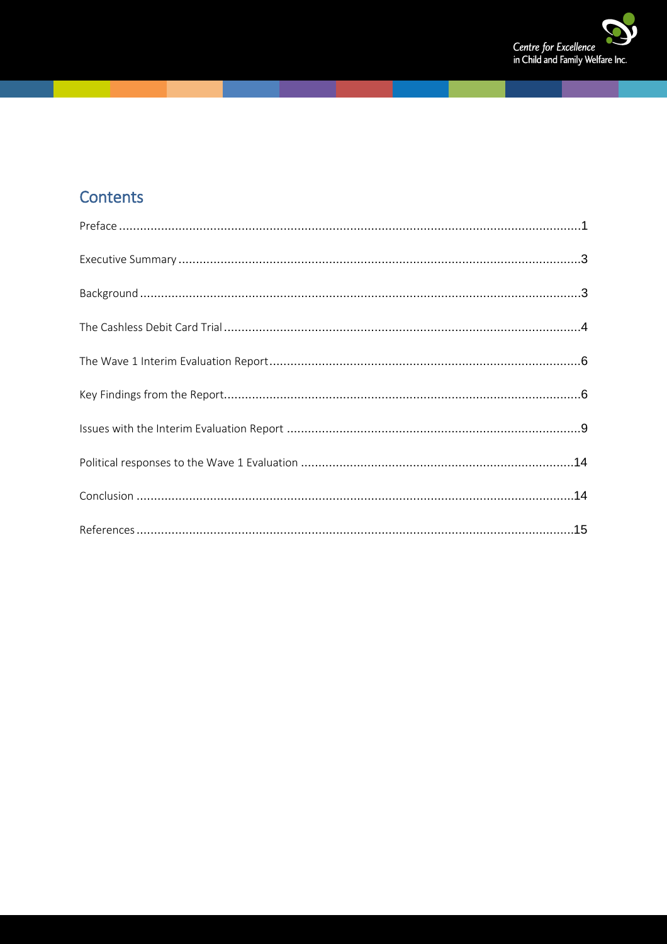

# Contents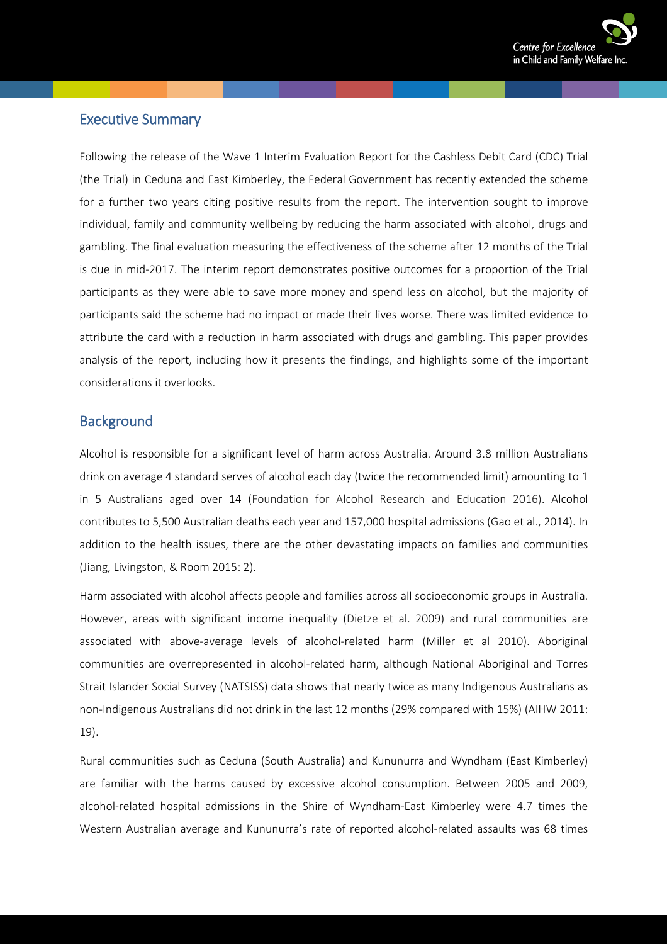

#### <span id="page-2-0"></span>Executive Summary

Following the release of the Wave 1 Interim Evaluation Report for the Cashless Debit Card (CDC) Trial (the Trial) in Ceduna and East Kimberley, the Federal Government has recently extended the scheme for a further two years citing positive results from the report. The intervention sought to improve individual, family and community wellbeing by reducing the harm associated with alcohol, drugs and gambling. The final evaluation measuring the effectiveness of the scheme after 12 months of the Trial is due in mid-2017. The interim report demonstrates positive outcomes for a proportion of the Trial participants as they were able to save more money and spend less on alcohol, but the majority of participants said the scheme had no impact or made their lives worse. There was limited evidence to attribute the card with a reduction in harm associated with drugs and gambling. This paper provides analysis of the report, including how it presents the findings, and highlights some of the important considerations it overlooks.

#### <span id="page-2-1"></span>**Background**

Alcohol is responsible for a significant level of harm across Australia. Around 3.8 million Australians drink on average 4 standard serves of alcohol each day (twice the recommended limit) amounting to 1 in 5 Australians aged over 14 (Foundation for Alcohol Research and Education 2016). Alcohol contributes to 5,500 Australian deaths each year and 157,000 hospital admissions (Gao et al., 2014). In addition to the health issues, there are the other devastating impacts on families and communities (Jiang, Livingston, & Room 2015: 2).

Harm associated with alcohol affects people and families across all socioeconomic groups in Australia. However, areas with significant income inequality (Dietze et al. 2009) and rural communities are associated with above-average levels of alcohol-related harm (Miller et al 2010). Aboriginal communities are overrepresented in alcohol-related harm, although National Aboriginal and Torres Strait Islander Social Survey (NATSISS) data shows that nearly twice as many Indigenous Australians as non-Indigenous Australians did not drink in the last 12 months (29% compared with 15%) (AIHW 2011: 19).

Rural communities such as Ceduna (South Australia) and Kununurra and Wyndham (East Kimberley) are familiar with the harms caused by excessive alcohol consumption. Between 2005 and 2009, alcohol-related hospital admissions in the Shire of Wyndham-East Kimberley were 4.7 times the Western Australian average and Kununurra's rate of reported alcohol-related assaults was 68 times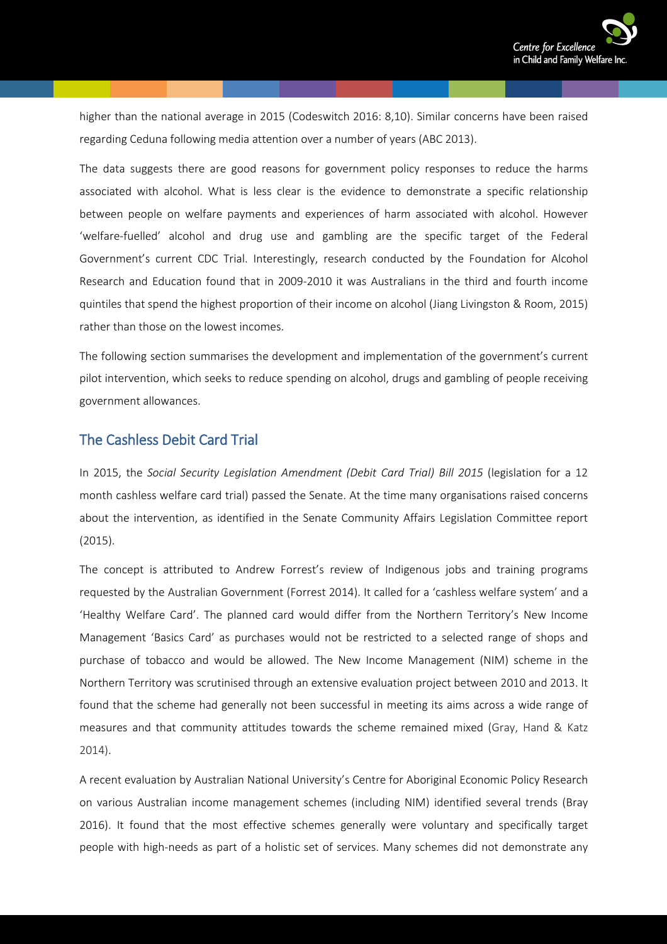

higher than the national average in 2015 (Codeswitch 2016: 8,10). Similar concerns have been raised regarding Ceduna following media attention over a number of years (ABC 2013).

The data suggests there are good reasons for government policy responses to reduce the harms associated with alcohol. What is less clear is the evidence to demonstrate a specific relationship between people on welfare payments and experiences of harm associated with alcohol. However 'welfare-fuelled' alcohol and drug use and gambling are the specific target of the Federal Government's current CDC Trial. Interestingly, research conducted by the Foundation for Alcohol Research and Education found that in 2009-2010 it was Australians in the third and fourth income quintiles that spend the highest proportion of their income on alcohol (Jiang Livingston & Room, 2015) rather than those on the lowest incomes.

The following section summarises the development and implementation of the government's current pilot intervention, which seeks to reduce spending on alcohol, drugs and gambling of people receiving government allowances.

#### <span id="page-3-0"></span>The Cashless Debit Card Trial

In 2015, the *Social Security Legislation Amendment (Debit Card Trial) Bill 2015* (legislation for a 12 month cashless welfare card trial) passed the Senate. At the time many organisations raised concerns about the intervention, as identified in the Senate Community Affairs Legislation Committee report (2015).

The concept is attributed to Andrew Forrest's review of Indigenous jobs and training programs requested by the Australian Government (Forrest 2014). It called for a 'cashless welfare system' and a 'Healthy Welfare Card'. The planned card would differ from the Northern Territory's New Income Management 'Basics Card' as purchases would not be restricted to a selected range of shops and purchase of tobacco and would be allowed. The New Income Management (NIM) scheme in the Northern Territory was scrutinised through an extensive evaluation project between 2010 and 2013. It found that the scheme had generally not been successful in meeting its aims across a wide range of measures and that community attitudes towards the scheme remained mixed (Gray, Hand & Katz 2014).

A recent evaluation by Australian National University's Centre for Aboriginal Economic Policy Research on various Australian income management schemes (including NIM) identified several trends (Bray 2016). It found that the most effective schemes generally were voluntary and specifically target people with high-needs as part of a holistic set of services. Many schemes did not demonstrate any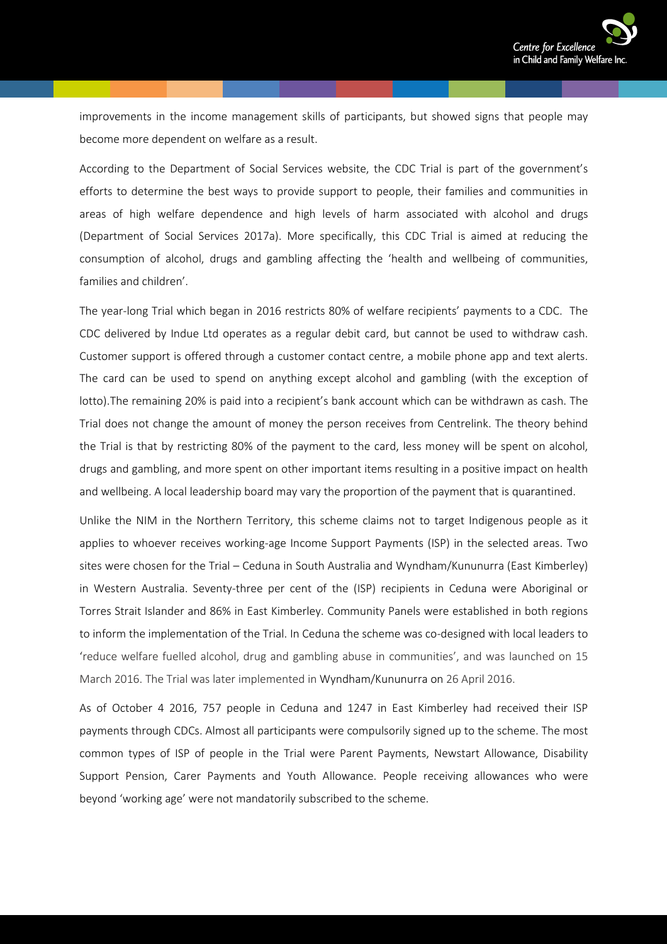

improvements in the income management skills of participants, but showed signs that people may become more dependent on welfare as a result.

According to the Department of Social Services website, the CDC Trial is part of the government's efforts to determine the best ways to provide support to people, their families and communities in areas of high welfare dependence and high levels of harm associated with alcohol and drugs (Department of Social Services 2017a). More specifically, this CDC Trial is aimed at reducing the consumption of alcohol, drugs and gambling affecting the 'health and wellbeing of communities, families and children'.

The year-long Trial which began in 2016 restricts 80% of welfare recipients' payments to a CDC. The CDC delivered by Indue Ltd operates as a regular debit card, but cannot be used to withdraw cash. Customer support is offered through a customer contact centre, a mobile phone app and text alerts. The card can be used to spend on anything except alcohol and gambling (with the exception of lotto).The remaining 20% is paid into a recipient's bank account which can be withdrawn as cash. The Trial does not change the amount of money the person receives from Centrelink. The theory behind the Trial is that by restricting 80% of the payment to the card, less money will be spent on alcohol, drugs and gambling, and more spent on other important items resulting in a positive impact on health and wellbeing. A local leadership board may vary the proportion of the payment that is quarantined.

Unlike the NIM in the Northern Territory, this scheme claims not to target Indigenous people as it applies to whoever receives working-age Income Support Payments (ISP) in the selected areas. Two sites were chosen for the Trial – Ceduna in South Australia and Wyndham/Kununurra (East Kimberley) in Western Australia. Seventy-three per cent of the (ISP) recipients in Ceduna were Aboriginal or Torres Strait Islander and 86% in East Kimberley. Community Panels were established in both regions to inform the implementation of the Trial. In Ceduna the scheme was co-designed with local leaders to 'reduce welfare fuelled alcohol, drug and gambling abuse in communities', and was launched on 15 March 2016. The Trial was later implemented in Wyndham/Kununurra on 26 April 2016.

As of October 4 2016, 757 people in Ceduna and 1247 in East Kimberley had received their ISP payments through CDCs. Almost all participants were compulsorily signed up to the scheme. The most common types of ISP of people in the Trial were Parent Payments, Newstart Allowance, Disability Support Pension, Carer Payments and Youth Allowance. People receiving allowances who were beyond 'working age' were not mandatorily subscribed to the scheme.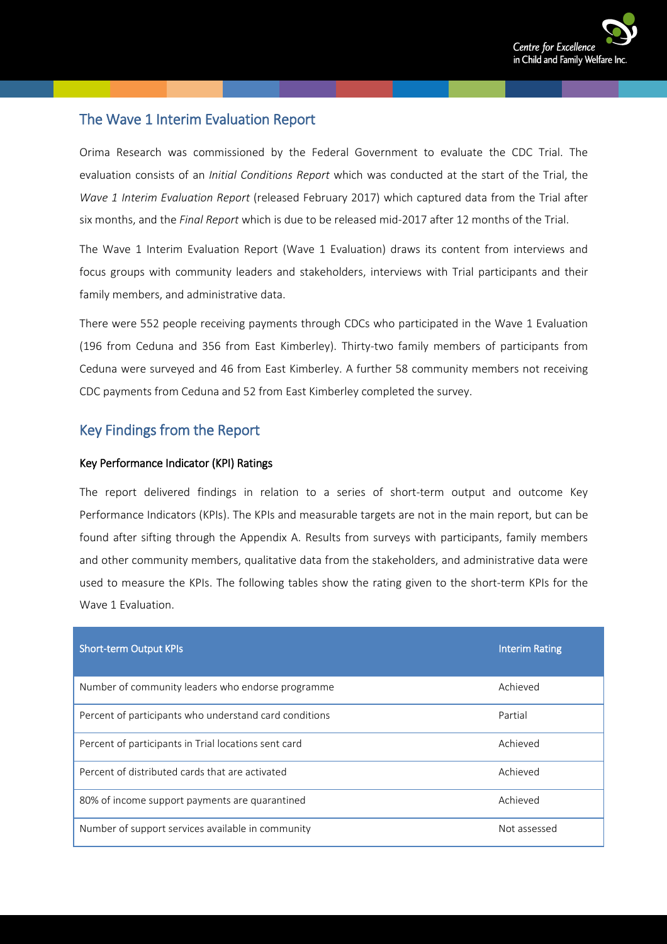

# <span id="page-5-0"></span>The Wave 1 Interim Evaluation Report

Orima Research was commissioned by the Federal Government to evaluate the CDC Trial. The evaluation consists of an *Initial Conditions Report* which was conducted at the start of the Trial, the *Wave 1 Interim Evaluation Report* (released February 2017) which captured data from the Trial after six months, and the *Final Report* which is due to be released mid-2017 after 12 months of the Trial.

The Wave 1 Interim Evaluation Report (Wave 1 Evaluation) draws its content from interviews and focus groups with community leaders and stakeholders, interviews with Trial participants and their family members, and administrative data.

There were 552 people receiving payments through CDCs who participated in the Wave 1 Evaluation (196 from Ceduna and 356 from East Kimberley). Thirty-two family members of participants from Ceduna were surveyed and 46 from East Kimberley. A further 58 community members not receiving CDC payments from Ceduna and 52 from East Kimberley completed the survey.

### <span id="page-5-1"></span>Key Findings from the Report

#### Key Performance Indicator (KPI) Ratings

The report delivered findings in relation to a series of short-term output and outcome Key Performance Indicators (KPIs). The KPIs and measurable targets are not in the main report, but can be found after sifting through the Appendix A. Results from surveys with participants, family members and other community members, qualitative data from the stakeholders, and administrative data were used to measure the KPIs. The following tables show the rating given to the short-term KPIs for the Wave 1 Evaluation.

| <b>Short-term Output KPIs</b>                          | <b>Interim Rating</b> |
|--------------------------------------------------------|-----------------------|
| Number of community leaders who endorse programme      | Achieved              |
| Percent of participants who understand card conditions | Partial               |
| Percent of participants in Trial locations sent card   | Achieved              |
| Percent of distributed cards that are activated        | Achieved              |
| 80% of income support payments are quarantined         | Achieved              |
| Number of support services available in community      | Not assessed          |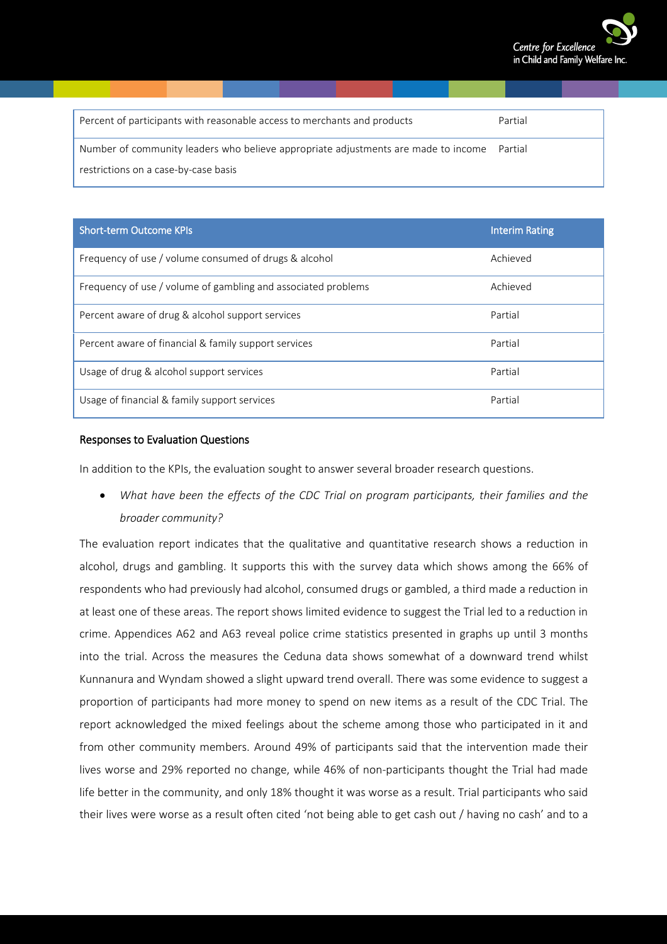

| Percent of participants with reasonable access to merchants and products           | Partial |
|------------------------------------------------------------------------------------|---------|
| Number of community leaders who believe appropriate adjustments are made to income | Partial |
| restrictions on a case-by-case basis                                               |         |

| <b>Short-term Outcome KPIs</b>                                | <b>Interim Rating</b> |
|---------------------------------------------------------------|-----------------------|
| Frequency of use / volume consumed of drugs & alcohol         | Achieved              |
| Frequency of use / volume of gambling and associated problems | Achieved              |
| Percent aware of drug & alcohol support services              | Partial               |
| Percent aware of financial & family support services          | Partial               |
| Usage of drug & alcohol support services                      | Partial               |
| Usage of financial & family support services                  | Partial               |

#### Responses to Evaluation Questions

In addition to the KPIs, the evaluation sought to answer several broader research questions.

• *What have been the effects of the CDC Trial on program participants, their families and the broader community?*

The evaluation report indicates that the qualitative and quantitative research shows a reduction in alcohol, drugs and gambling. It supports this with the survey data which shows among the 66% of respondents who had previously had alcohol, consumed drugs or gambled, a third made a reduction in at least one of these areas. The report shows limited evidence to suggest the Trial led to a reduction in crime. Appendices A62 and A63 reveal police crime statistics presented in graphs up until 3 months into the trial. Across the measures the Ceduna data shows somewhat of a downward trend whilst Kunnanura and Wyndam showed a slight upward trend overall. There was some evidence to suggest a proportion of participants had more money to spend on new items as a result of the CDC Trial. The report acknowledged the mixed feelings about the scheme among those who participated in it and from other community members. Around 49% of participants said that the intervention made their lives worse and 29% reported no change, while 46% of non-participants thought the Trial had made life better in the community, and only 18% thought it was worse as a result. Trial participants who said their lives were worse as a result often cited 'not being able to get cash out / having no cash' and to a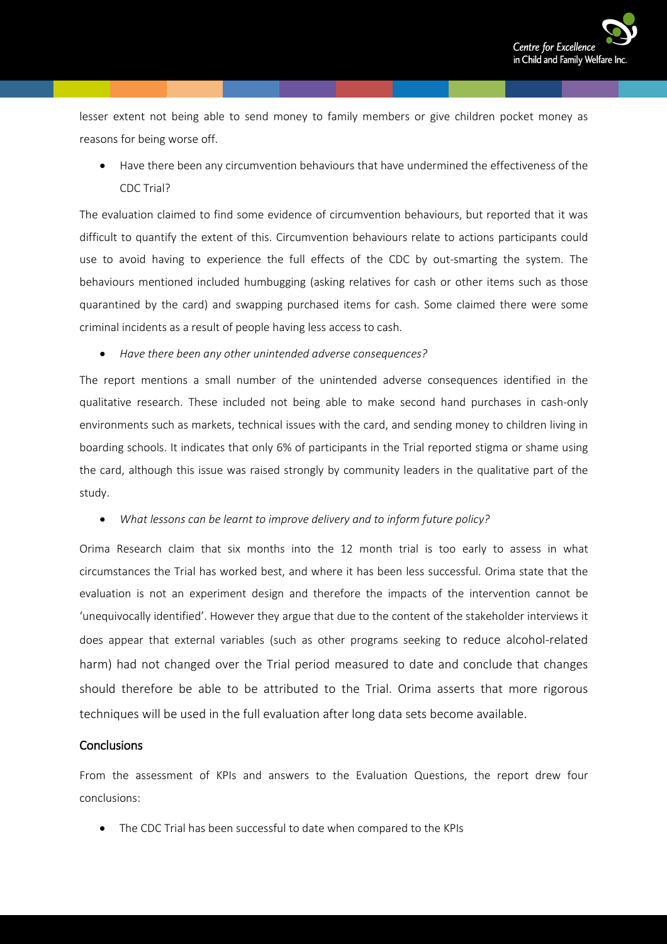

lesser extent not being able to send money to family members or give children pocket money as reasons for being worse off.

• Have there been any circumvention behaviours that have undermined the effectiveness of the CDC Trial?

The evaluation claimed to find some evidence of circumvention behaviours, but reported that it was difficult to quantify the extent of this. Circumvention behaviours relate to actions participants could use to avoid having to experience the full effects of the CDC by out-smarting the system. The behaviours mentioned included humbugging (asking relatives for cash or other items such as those quarantined by the card) and swapping purchased items for cash. Some claimed there were some criminal incidents as a result of people having less access to cash.

• *Have there been any other unintended adverse consequences?*

The report mentions a small number of the unintended adverse consequences identified in the qualitative research. These included not being able to make second hand purchases in cash-only environments such as markets, technical issues with the card, and sending money to children living in boarding schools. It indicates that only 6% of participants in the Trial reported stigma or shame using the card, although this issue was raised strongly by community leaders in the qualitative part of the study.

• *What lessons can be learnt to improve delivery and to inform future policy?*

Orima Research claim that six months into the 12 month trial is too early to assess in what circumstances the Trial has worked best, and where it has been less successful. Orima state that the evaluation is not an experiment design and therefore the impacts of the intervention cannot be 'unequivocally identified'. However they argue that due to the content of the stakeholder interviews it does appear that external variables (such as other programs seeking to reduce alcohol-related harm) had not changed over the Trial period measured to date and conclude that changes should therefore be able to be attributed to the Trial. Orima asserts that more rigorous techniques will be used in the full evaluation after long data sets become available.

#### **Conclusions**

From the assessment of KPIs and answers to the Evaluation Questions, the report drew four conclusions:

• The CDC Trial has been successful to date when compared to the KPIs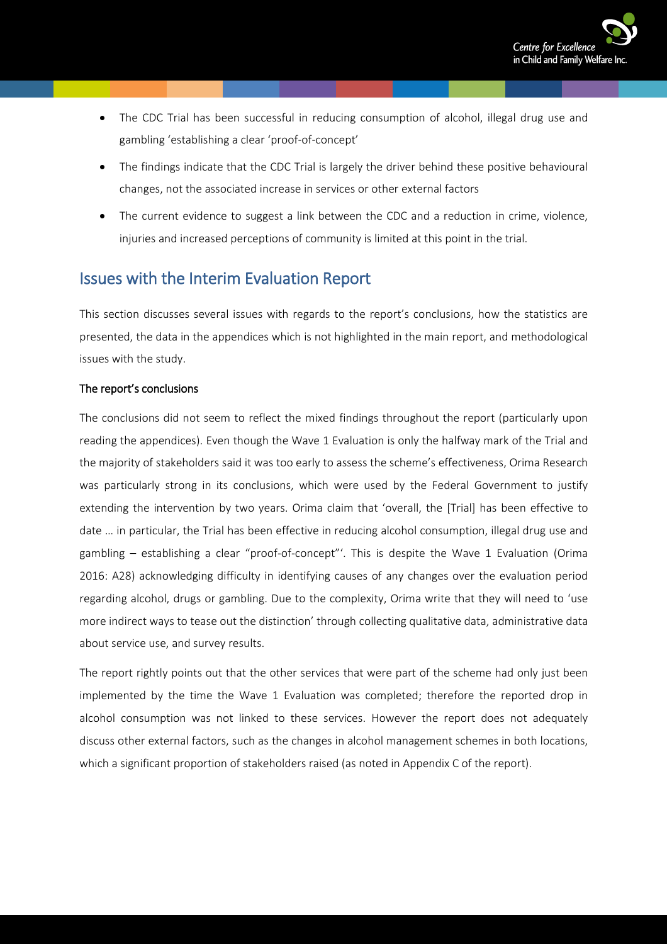

- The CDC Trial has been successful in reducing consumption of alcohol, illegal drug use and gambling 'establishing a clear 'proof-of-concept'
- The findings indicate that the CDC Trial is largely the driver behind these positive behavioural changes, not the associated increase in services or other external factors
- The current evidence to suggest a link between the CDC and a reduction in crime, violence, injuries and increased perceptions of community is limited at this point in the trial.

## <span id="page-8-0"></span>Issues with the Interim Evaluation Report

This section discusses several issues with regards to the report's conclusions, how the statistics are presented, the data in the appendices which is not highlighted in the main report, and methodological issues with the study.

#### The report's conclusions

The conclusions did not seem to reflect the mixed findings throughout the report (particularly upon reading the appendices). Even though the Wave 1 Evaluation is only the halfway mark of the Trial and the majority of stakeholders said it was too early to assess the scheme's effectiveness, Orima Research was particularly strong in its conclusions, which were used by the Federal Government to justify extending the intervention by two years. Orima claim that 'overall, the [Trial] has been effective to date … in particular, the Trial has been effective in reducing alcohol consumption, illegal drug use and gambling – establishing a clear "proof-of-concept"'. This is despite the Wave 1 Evaluation (Orima 2016: A28) acknowledging difficulty in identifying causes of any changes over the evaluation period regarding alcohol, drugs or gambling. Due to the complexity, Orima write that they will need to 'use more indirect ways to tease out the distinction' through collecting qualitative data, administrative data about service use, and survey results.

The report rightly points out that the other services that were part of the scheme had only just been implemented by the time the Wave 1 Evaluation was completed; therefore the reported drop in alcohol consumption was not linked to these services. However the report does not adequately discuss other external factors, such as the changes in alcohol management schemes in both locations, which a significant proportion of stakeholders raised (as noted in Appendix C of the report).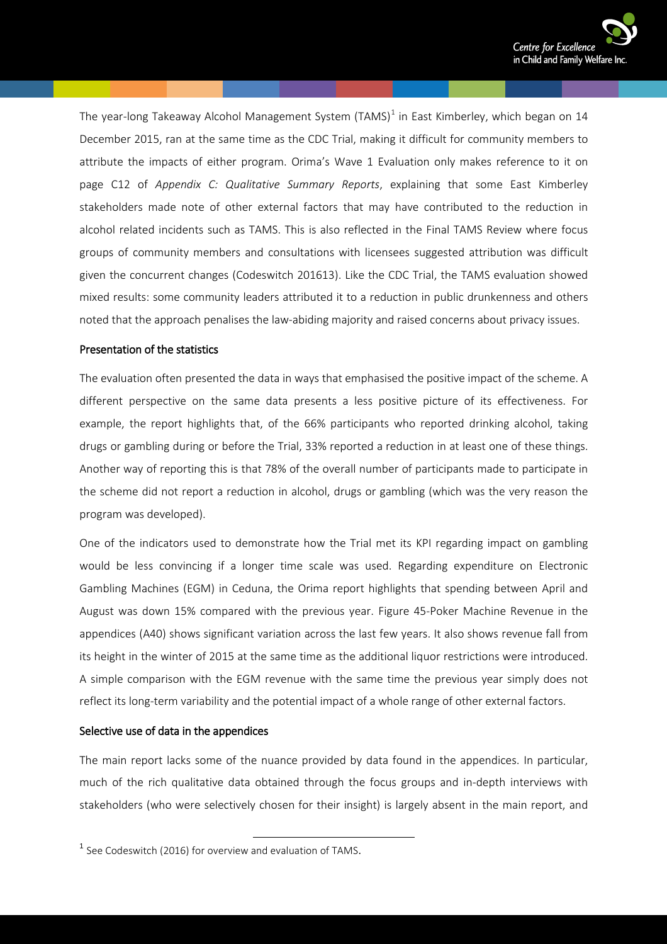The year-long Takeaway Alcohol Management System (TAMS)<sup>[1](#page-9-0)</sup> in East Kimberley, which began on 14 December 2015, ran at the same time as the CDC Trial, making it difficult for community members to attribute the impacts of either program. Orima's Wave 1 Evaluation only makes reference to it on page C12 of *Appendix C: Qualitative Summary Reports*, explaining that some East Kimberley stakeholders made note of other external factors that may have contributed to the reduction in alcohol related incidents such as TAMS. This is also reflected in the Final TAMS Review where focus groups of community members and consultations with licensees suggested attribution was difficult given the concurrent changes (Codeswitch 201613). Like the CDC Trial, the TAMS evaluation showed mixed results: some community leaders attributed it to a reduction in public drunkenness and others noted that the approach penalises the law-abiding majority and raised concerns about privacy issues.

#### Presentation of the statistics

The evaluation often presented the data in ways that emphasised the positive impact of the scheme. A different perspective on the same data presents a less positive picture of its effectiveness. For example, the report highlights that, of the 66% participants who reported drinking alcohol, taking drugs or gambling during or before the Trial, 33% reported a reduction in at least one of these things. Another way of reporting this is that 78% of the overall number of participants made to participate in the scheme did not report a reduction in alcohol, drugs or gambling (which was the very reason the program was developed).

One of the indicators used to demonstrate how the Trial met its KPI regarding impact on gambling would be less convincing if a longer time scale was used. Regarding expenditure on Electronic Gambling Machines (EGM) in Ceduna, the Orima report highlights that spending between April and August was down 15% compared with the previous year. Figure 45-Poker Machine Revenue in the appendices (A40) shows significant variation across the last few years. It also shows revenue fall from its height in the winter of 2015 at the same time as the additional liquor restrictions were introduced. A simple comparison with the EGM revenue with the same time the previous year simply does not reflect its long-term variability and the potential impact of a whole range of other external factors.

#### Selective use of data in the appendices

The main report lacks some of the nuance provided by data found in the appendices. In particular, much of the rich qualitative data obtained through the focus groups and in-depth interviews with stakeholders (who were selectively chosen for their insight) is largely absent in the main report, and

<span id="page-9-0"></span><sup>&</sup>lt;sup>1</sup> See Codeswitch (2016) for overview and evaluation of TAMS.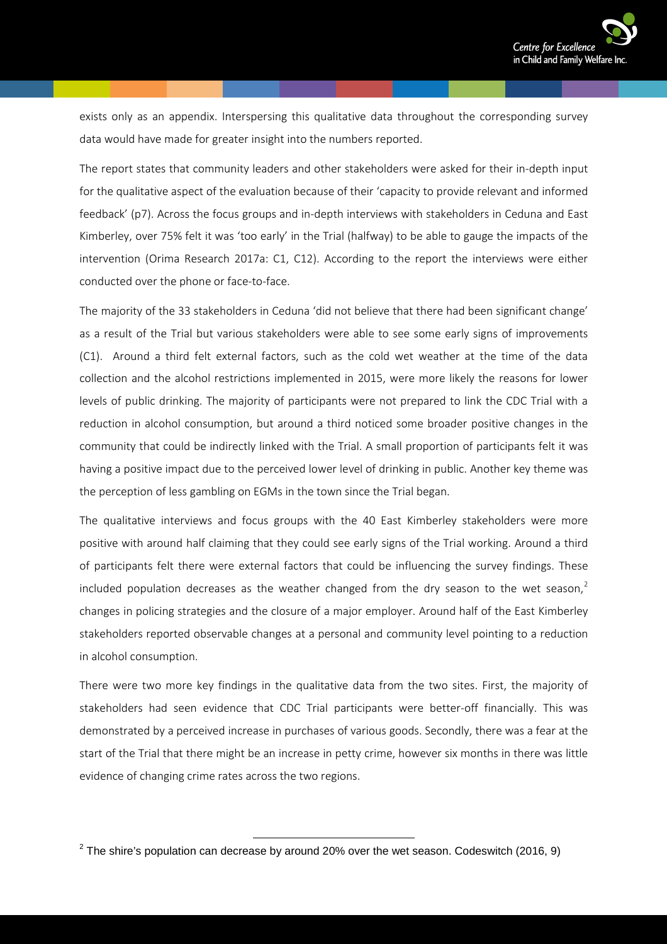

exists only as an appendix. Interspersing this qualitative data throughout the corresponding survey data would have made for greater insight into the numbers reported.

The report states that community leaders and other stakeholders were asked for their in-depth input for the qualitative aspect of the evaluation because of their 'capacity to provide relevant and informed feedback' (p7). Across the focus groups and in-depth interviews with stakeholders in Ceduna and East Kimberley, over 75% felt it was 'too early' in the Trial (halfway) to be able to gauge the impacts of the intervention (Orima Research 2017a: C1, C12). According to the report the interviews were either conducted over the phone or face-to-face.

The majority of the 33 stakeholders in Ceduna 'did not believe that there had been significant change' as a result of the Trial but various stakeholders were able to see some early signs of improvements (C1). Around a third felt external factors, such as the cold wet weather at the time of the data collection and the alcohol restrictions implemented in 2015, were more likely the reasons for lower levels of public drinking. The majority of participants were not prepared to link the CDC Trial with a reduction in alcohol consumption, but around a third noticed some broader positive changes in the community that could be indirectly linked with the Trial. A small proportion of participants felt it was having a positive impact due to the perceived lower level of drinking in public. Another key theme was the perception of less gambling on EGMs in the town since the Trial began.

The qualitative interviews and focus groups with the 40 East Kimberley stakeholders were more positive with around half claiming that they could see early signs of the Trial working. Around a third of participants felt there were external factors that could be influencing the survey findings. These included population decreases as the weather changed from the dry season to the wet season,<sup>[2](#page-10-0)</sup> changes in policing strategies and the closure of a major employer. Around half of the East Kimberley stakeholders reported observable changes at a personal and community level pointing to a reduction in alcohol consumption.

There were two more key findings in the qualitative data from the two sites. First, the majority of stakeholders had seen evidence that CDC Trial participants were better-off financially. This was demonstrated by a perceived increase in purchases of various goods. Secondly, there was a fear at the start of the Trial that there might be an increase in petty crime, however six months in there was little evidence of changing crime rates across the two regions.

<span id="page-10-0"></span> $2$  The shire's population can decrease by around 20% over the wet season. Codeswitch (2016, 9)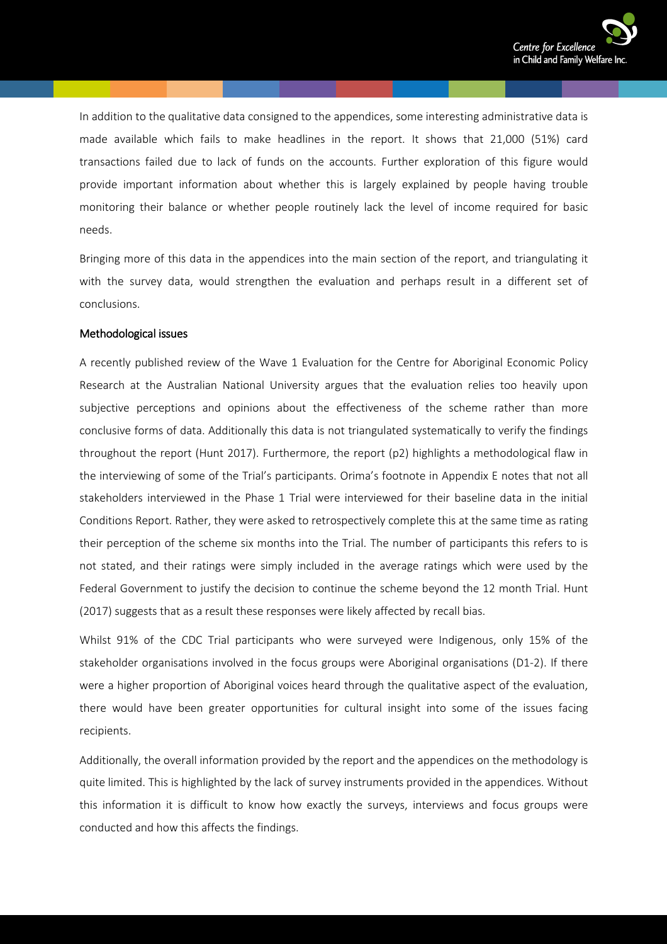

In addition to the qualitative data consigned to the appendices, some interesting administrative data is made available which fails to make headlines in the report. It shows that 21,000 (51%) card transactions failed due to lack of funds on the accounts. Further exploration of this figure would provide important information about whether this is largely explained by people having trouble monitoring their balance or whether people routinely lack the level of income required for basic needs.

Bringing more of this data in the appendices into the main section of the report, and triangulating it with the survey data, would strengthen the evaluation and perhaps result in a different set of conclusions.

#### Methodological issues

A recently published review of the Wave 1 Evaluation for the Centre for Aboriginal Economic Policy Research at the Australian National University argues that the evaluation relies too heavily upon subjective perceptions and opinions about the effectiveness of the scheme rather than more conclusive forms of data. Additionally this data is not triangulated systematically to verify the findings throughout the report (Hunt 2017). Furthermore, the report (p2) highlights a methodological flaw in the interviewing of some of the Trial's participants. Orima's footnote in Appendix E notes that not all stakeholders interviewed in the Phase 1 Trial were interviewed for their baseline data in the initial Conditions Report. Rather, they were asked to retrospectively complete this at the same time as rating their perception of the scheme six months into the Trial. The number of participants this refers to is not stated, and their ratings were simply included in the average ratings which were used by the Federal Government to justify the decision to continue the scheme beyond the 12 month Trial. Hunt (2017) suggests that as a result these responses were likely affected by recall bias.

Whilst 91% of the CDC Trial participants who were surveyed were Indigenous, only 15% of the stakeholder organisations involved in the focus groups were Aboriginal organisations (D1-2). If there were a higher proportion of Aboriginal voices heard through the qualitative aspect of the evaluation, there would have been greater opportunities for cultural insight into some of the issues facing recipients.

Additionally, the overall information provided by the report and the appendices on the methodology is quite limited. This is highlighted by the lack of survey instruments provided in the appendices. Without this information it is difficult to know how exactly the surveys, interviews and focus groups were conducted and how this affects the findings.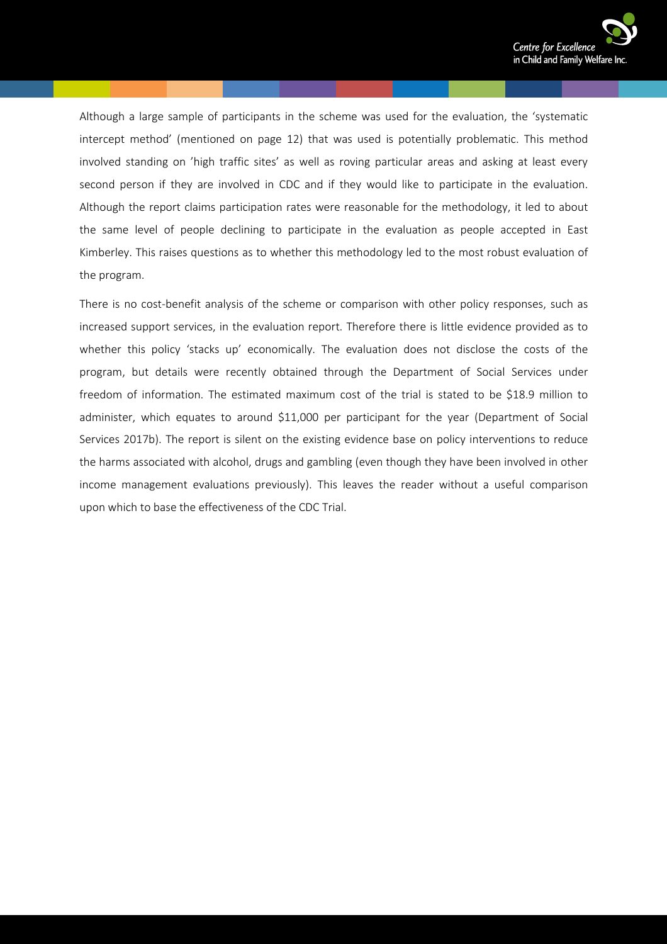

Although a large sample of participants in the scheme was used for the evaluation, the 'systematic intercept method' (mentioned on page 12) that was used is potentially problematic. This method involved standing on 'high traffic sites' as well as roving particular areas and asking at least every second person if they are involved in CDC and if they would like to participate in the evaluation. Although the report claims participation rates were reasonable for the methodology, it led to about the same level of people declining to participate in the evaluation as people accepted in East Kimberley. This raises questions as to whether this methodology led to the most robust evaluation of the program.

There is no cost-benefit analysis of the scheme or comparison with other policy responses, such as increased support services, in the evaluation report. Therefore there is little evidence provided as to whether this policy 'stacks up' economically. The evaluation does not disclose the costs of the program, but details were recently obtained through the Department of Social Services under freedom of information. The estimated maximum cost of the trial is stated to be \$18.9 million to administer, which equates to around \$11,000 per participant for the year (Department of Social Services 2017b). The report is silent on the existing evidence base on policy interventions to reduce the harms associated with alcohol, drugs and gambling (even though they have been involved in other income management evaluations previously). This leaves the reader without a useful comparison upon which to base the effectiveness of the CDC Trial.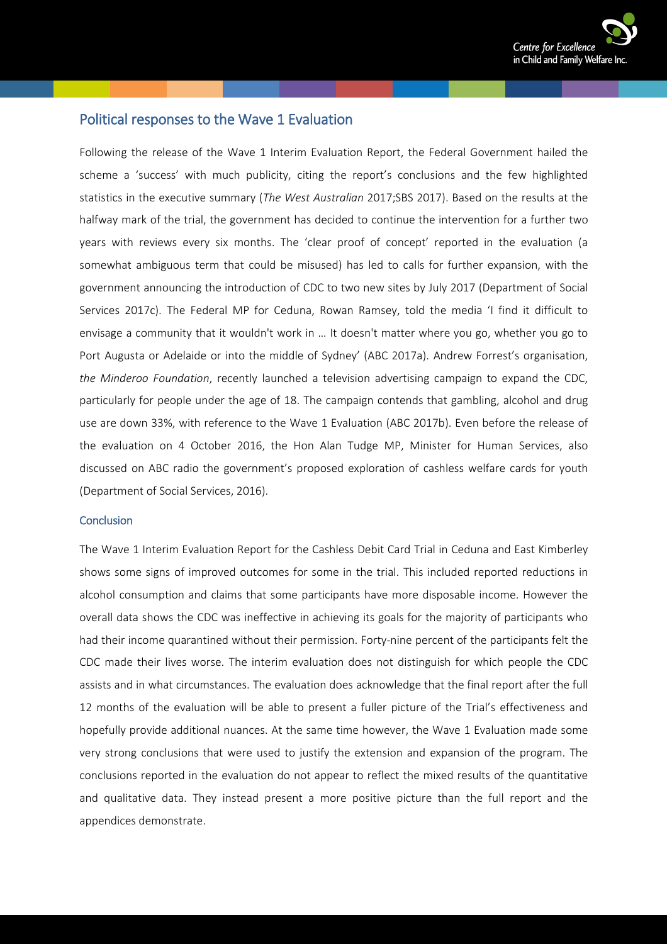

#### <span id="page-13-0"></span>Political responses to the Wave 1 Evaluation

Following the release of the Wave 1 Interim Evaluation Report, the Federal Government hailed the scheme a 'success' with much publicity, citing the report's conclusions and the few highlighted statistics in the executive summary (*The West Australian* 2017;SBS 2017). Based on the results at the halfway mark of the trial, the government has decided to continue the intervention for a further two years with reviews every six months. The 'clear proof of concept' reported in the evaluation (a somewhat ambiguous term that could be misused) has led to calls for further expansion, with the government announcing the introduction of CDC to two new sites by July 2017 (Department of Social Services 2017c). The Federal MP for Ceduna, Rowan Ramsey, told the media 'I find it difficult to envisage a community that it wouldn't work in … It doesn't matter where you go, whether you go to Port Augusta or Adelaide or into the middle of Sydney' (ABC 2017a). Andrew Forrest's organisation, *the Minderoo Foundation*, recently launched a television advertising campaign to expand the CDC, particularly for people under the age of 18. The campaign contends that gambling, alcohol and drug use are down 33%, with reference to the Wave 1 Evaluation (ABC 2017b). Even before the release of the evaluation on 4 October 2016, the Hon Alan Tudge MP, Minister for Human Services, also discussed on ABC radio the government's proposed exploration of cashless welfare cards for youth (Department of Social Services, 2016).

#### <span id="page-13-1"></span>**Conclusion**

The Wave 1 Interim Evaluation Report for the Cashless Debit Card Trial in Ceduna and East Kimberley shows some signs of improved outcomes for some in the trial. This included reported reductions in alcohol consumption and claims that some participants have more disposable income. However the overall data shows the CDC was ineffective in achieving its goals for the majority of participants who had their income quarantined without their permission. Forty-nine percent of the participants felt the CDC made their lives worse. The interim evaluation does not distinguish for which people the CDC assists and in what circumstances. The evaluation does acknowledge that the final report after the full 12 months of the evaluation will be able to present a fuller picture of the Trial's effectiveness and hopefully provide additional nuances. At the same time however, the Wave 1 Evaluation made some very strong conclusions that were used to justify the extension and expansion of the program. The conclusions reported in the evaluation do not appear to reflect the mixed results of the quantitative and qualitative data. They instead present a more positive picture than the full report and the appendices demonstrate.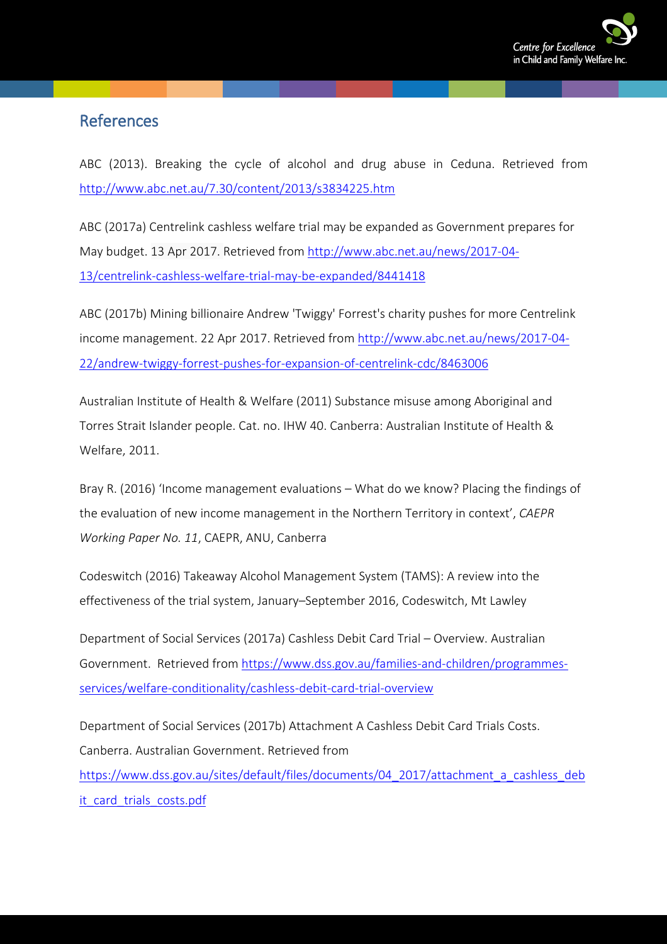

## <span id="page-14-0"></span>**References**

ABC (2013). Breaking the cycle of alcohol and drug abuse in Ceduna. Retrieved from <http://www.abc.net.au/7.30/content/2013/s3834225.htm>

ABC (2017a) Centrelink cashless welfare trial may be expanded as Government prepares for May budget. 13 Apr 2017. Retrieved from [http://www.abc.net.au/news/2017-04-](http://www.abc.net.au/news/2017-04-13/centrelink-cashless-welfare-trial-may-be-expanded/8441418) [13/centrelink-cashless-welfare-trial-may-be-expanded/8441418](http://www.abc.net.au/news/2017-04-13/centrelink-cashless-welfare-trial-may-be-expanded/8441418)

ABC (2017b) Mining billionaire Andrew 'Twiggy' Forrest's charity pushes for more Centrelink income management. 22 Apr 2017. Retrieved from [http://www.abc.net.au/news/2017-04-](http://www.abc.net.au/news/2017-04-22/andrew-twiggy-forrest-pushes-for-expansion-of-centrelink-cdc/8463006) [22/andrew-twiggy-forrest-pushes-for-expansion-of-centrelink-cdc/8463006](http://www.abc.net.au/news/2017-04-22/andrew-twiggy-forrest-pushes-for-expansion-of-centrelink-cdc/8463006)

Australian Institute of Health & Welfare (2011) Substance misuse among Aboriginal and Torres Strait Islander people. Cat. no. IHW 40. Canberra: Australian Institute of Health & Welfare, 2011.

Bray R. (2016) 'Income management evaluations – What do we know? Placing the findings of the evaluation of new income management in the Northern Territory in context', *CAEPR Working Paper No. 11*, CAEPR, ANU, Canberra

Codeswitch (2016) Takeaway Alcohol Management System (TAMS): A review into the effectiveness of the trial system, January–September 2016, Codeswitch, Mt Lawley

Department of Social Services (2017a) Cashless Debit Card Trial – Overview. Australian Government. Retrieved from [https://www.dss.gov.au/families-and-children/programmes](https://www.dss.gov.au/families-and-children/programmes-services/welfare-conditionality/cashless-debit-card-trial-overview)[services/welfare-conditionality/cashless-debit-card-trial-overview](https://www.dss.gov.au/families-and-children/programmes-services/welfare-conditionality/cashless-debit-card-trial-overview)

Department of Social Services (2017b) Attachment A Cashless Debit Card Trials Costs. Canberra. Australian Government. Retrieved from [https://www.dss.gov.au/sites/default/files/documents/04\\_2017/attachment\\_a\\_cashless\\_deb](https://www.dss.gov.au/sites/default/files/documents/04_2017/attachment_a_cashless_debit_card_trials_costs.pdf) [it\\_card\\_trials\\_costs.pdf](https://www.dss.gov.au/sites/default/files/documents/04_2017/attachment_a_cashless_debit_card_trials_costs.pdf)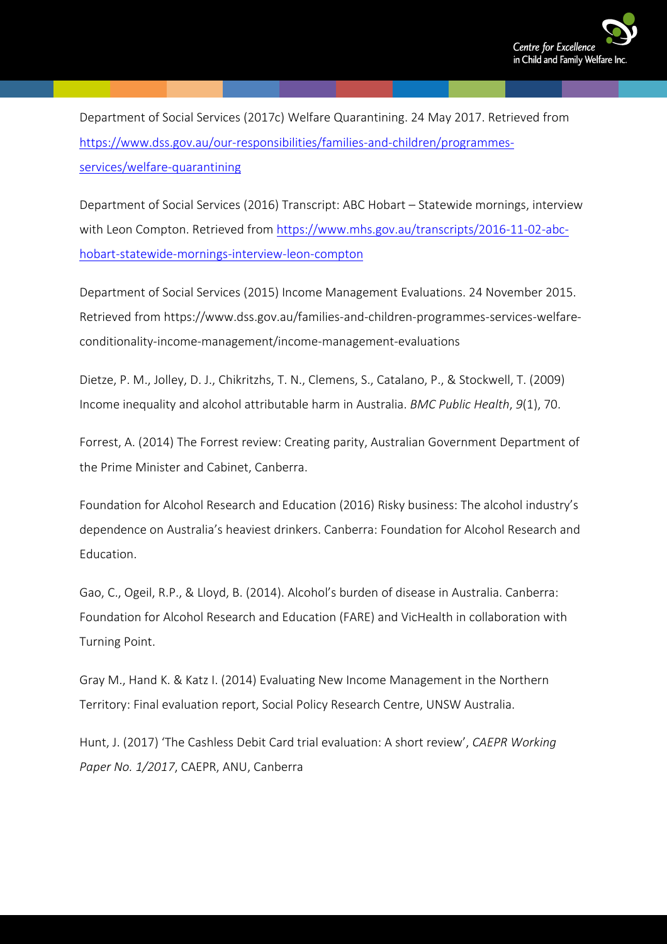

Department of Social Services (2017c) Welfare Quarantining. 24 May 2017. Retrieved from [https://www.dss.gov.au/our-responsibilities/families-and-children/programmes](https://www.dss.gov.au/our-responsibilities/families-and-children/programmes-services/welfare-quarantining)[services/welfare-quarantining](https://www.dss.gov.au/our-responsibilities/families-and-children/programmes-services/welfare-quarantining)

Department of Social Services (2016) Transcript: ABC Hobart – Statewide mornings, interview with Leon Compton. Retrieved from [https://www.mhs.gov.au/transcripts/2016-11-02-abc](https://www.mhs.gov.au/transcripts/2016-11-02-abc-hobart-statewide-mornings-interview-leon-compton)[hobart-statewide-mornings-interview-leon-compton](https://www.mhs.gov.au/transcripts/2016-11-02-abc-hobart-statewide-mornings-interview-leon-compton)

Department of Social Services (2015) Income Management Evaluations. 24 November 2015. Retrieved from https://www.dss.gov.au/families-and-children-programmes-services-welfareconditionality-income-management/income-management-evaluations

Dietze, P. M., Jolley, D. J., Chikritzhs, T. N., Clemens, S., Catalano, P., & Stockwell, T. (2009) Income inequality and alcohol attributable harm in Australia. *BMC Public Health*, *9*(1), 70.

Forrest, A. (2014) The Forrest review: Creating parity, Australian Government Department of the Prime Minister and Cabinet, Canberra.

Foundation for Alcohol Research and Education (2016) Risky business: The alcohol industry's dependence on Australia's heaviest drinkers. Canberra: Foundation for Alcohol Research and Education.

Gao, C., Ogeil, R.P., & Lloyd, B. (2014). Alcohol's burden of disease in Australia. Canberra: Foundation for Alcohol Research and Education (FARE) and VicHealth in collaboration with Turning Point.

Gray M., Hand K. & Katz I. (2014) Evaluating New Income Management in the Northern Territory: Final evaluation report, Social Policy Research Centre, UNSW Australia.

Hunt, J. (2017) 'The Cashless Debit Card trial evaluation: A short review', *CAEPR Working Paper No. 1/2017*, CAEPR, ANU, Canberra